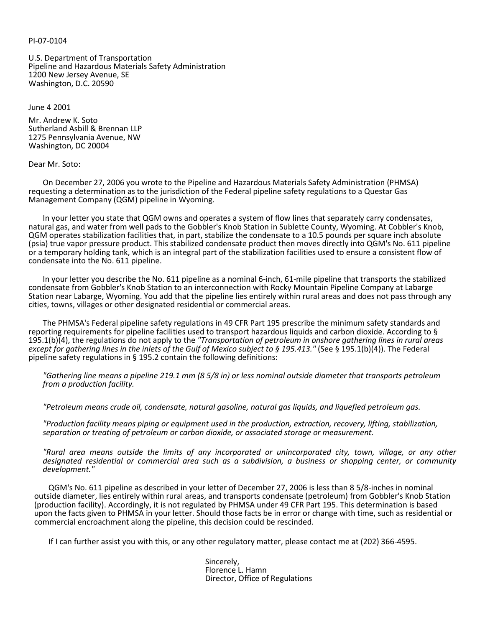#### PI-07-0104

U.S. Department of Transportation Pipeline and Hazardous Materials Safety Administration 1200 New Jersey Avenue, SE Washington, D.C. 20590

June 4 2001

Mr. Andrew K. Soto Sutherland Asbill & Brennan LLP 1275 Pennsylvania Avenue, NW Washington, DC 20004

#### Dear Mr. Soto:

On December 27, 2006 you wrote to the Pipeline and Hazardous Materials Safety Administration (PHMSA) requesting a determination as to the jurisdiction of the Federal pipeline safety regulations to a Questar Gas Management Company (QGM) pipeline in Wyoming.

In your letter you state that QGM owns and operates a system of flow lines that separately carry condensates, natural gas, and water from well pads to the Gobbler's Knob Station in Sublette County, Wyoming. At Cobbler's Knob, QGM operates stabilization facilities that, in part, stabilize the condensate to a 10.5 pounds per square inch absolute (psia) true vapor pressure product. This stabilized condensate product then moves directly into QGM's No. 611 pipeline or a temporary holding tank, which is an integral part of the stabilization facilities used to ensure a consistent flow of condensate into the No. 611 pipeline.

In your letter you describe the No. 611 pipeline as a nominal 6-inch, 61-mile pipeline that transports the stabilized condensate from Gobbler's Knob Station to an interconnection with Rocky Mountain Pipeline Company at Labarge Station near Labarge, Wyoming. You add that the pipeline lies entirely within rural areas and does not pass through any cities, towns, villages or other designated residential or commercial areas.

The PHMSA's Federal pipeline safety regulations in 49 CFR Part 195 prescribe the minimum safety standards and reporting requirements for pipeline facilities used to transport hazardous liquids and carbon dioxide. According to § 195.1(b)(4), the regulations do not apply to the *"Transportation of petroleum in onshore gathering lines in rural areas except for gathering lines in the inlets of the Gulf of Mexico subject to § 195.413."* (See § 195.1(b)(4)). The Federal pipeline safety regulations in § 195.2 contain the following definitions:

*"Gathering line means a pipeline 219.1 mm (8 5/8 in) or less nominal outside diameter that transports petroleum from a production facility.*

*"Petroleum means crude oil, condensate, natural gasoline, natural gas liquids, and liquefied petroleum gas.*

*"Production facility means piping or equipment used in the production, extraction, recovery, lifting, stabilization, separation or treating of petroleum or carbon dioxide, or associated storage or measurement.*

*"Rural area means outside the limits of any incorporated or unincorporated city, town, village, or any other designated residential or commercial area such as a subdivision, a business or shopping center, or community development."*

QGM's No. 611 pipeline as described in your letter of December 27, 2006 is less than 8 5/8-inches in nominal outside diameter, lies entirely within rural areas, and transports condensate (petroleum) from Gobbler's Knob Station (production facility). Accordingly, it is not regulated by PHMSA under 49 CFR Part 195. This determination is based upon the facts given to PHMSA in your letter. Should those facts be in error or change with time, such as residential or commercial encroachment along the pipeline, this decision could be rescinded.

If I can further assist you with this, or any other regulatory matter, please contact me at (202) 366-4595.

Sincerely, Florence L. Hamn Director, Office of Regulations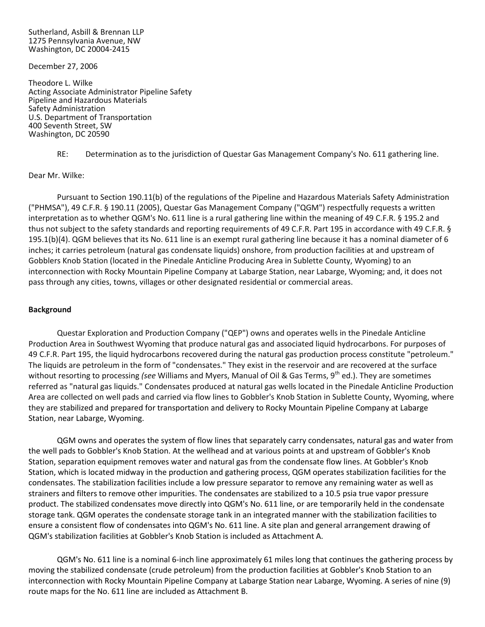Sutherland, Asbill & Brennan LLP 1275 Pennsylvania Avenue, NW Washington, DC 20004-2415

December 27, 2006

Theodore L. Wilke Acting Associate Administrator Pipeline Safety Pipeline and Hazardous Materials Safety Administration U.S. Department of Transportation 400 Seventh Street, SW Washington, DC 20590

RE: Determination as to the jurisdiction of Questar Gas Management Company's No. 611 gathering line.

Dear Mr. Wilke:

Pursuant to Section 190.11(b) of the regulations of the Pipeline and Hazardous Materials Safety Administration ("PHMSA"), 49 C.F.R. § 190.11 (2005), Questar Gas Management Company ("QGM") respectfully requests a written interpretation as to whether QGM's No. 611 line is a rural gathering line within the meaning of 49 C.F.R. § 195.2 and thus not subject to the safety standards and reporting requirements of 49 C.F.R. Part 195 in accordance with 49 C.F.R. § 195.1(b)(4). QGM believes that its No. 611 line is an exempt rural gathering line because it has a nominal diameter of 6 inches; it carries petroleum (natural gas condensate liquids) onshore, from production facilities at and upstream of Gobblers Knob Station (located in the Pinedale Anticline Producing Area in Sublette County, Wyoming) to an interconnection with Rocky Mountain Pipeline Company at Labarge Station, near Labarge, Wyoming; and, it does not pass through any cities, towns, villages or other designated residential or commercial areas.

# **Background**

Questar Exploration and Production Company ("QEP") owns and operates wells in the Pinedale Anticline Production Area in Southwest Wyoming that produce natural gas and associated liquid hydrocarbons. For purposes of 49 C.F.R. Part 195, the liquid hydrocarbons recovered during the natural gas production process constitute "petroleum." The liquids are petroleum in the form of "condensates." They exist in the reservoir and are recovered at the surface without resorting to processing *(see* Williams and Myers, Manual of Oil & Gas Terms, 9<sup>th</sup> ed.). They are sometimes referred as "natural gas liquids." Condensates produced at natural gas wells located in the Pinedale Anticline Production Area are collected on well pads and carried via flow lines to Gobbler's Knob Station in Sublette County, Wyoming, where they are stabilized and prepared for transportation and delivery to Rocky Mountain Pipeline Company at Labarge Station, near Labarge, Wyoming.

QGM owns and operates the system of flow lines that separately carry condensates, natural gas and water from the well pads to Gobbler's Knob Station. At the wellhead and at various points at and upstream of Gobbler's Knob Station, separation equipment removes water and natural gas from the condensate flow lines. At Gobbler's Knob Station, which is located midway in the production and gathering process, QGM operates stabilization facilities for the condensates. The stabilization facilities include a low pressure separator to remove any remaining water as well as strainers and filters to remove other impurities. The condensates are stabilized to a 10.5 psia true vapor pressure product. The stabilized condensates move directly into QGM's No. 611 line, or are temporarily held in the condensate storage tank. QGM operates the condensate storage tank in an integrated manner with the stabilization facilities to ensure a consistent flow of condensates into QGM's No. 611 line. A site plan and general arrangement drawing of QGM's stabilization facilities at Gobbler's Knob Station is included as Attachment A.

QGM's No. 611 line is a nominal 6-inch line approximately 61 miles long that continues the gathering process by moving the stabilized condensate (crude petroleum) from the production facilities at Gobbler's Knob Station to an interconnection with Rocky Mountain Pipeline Company at Labarge Station near Labarge, Wyoming. A series of nine (9) route maps for the No. 611 line are included as Attachment B.